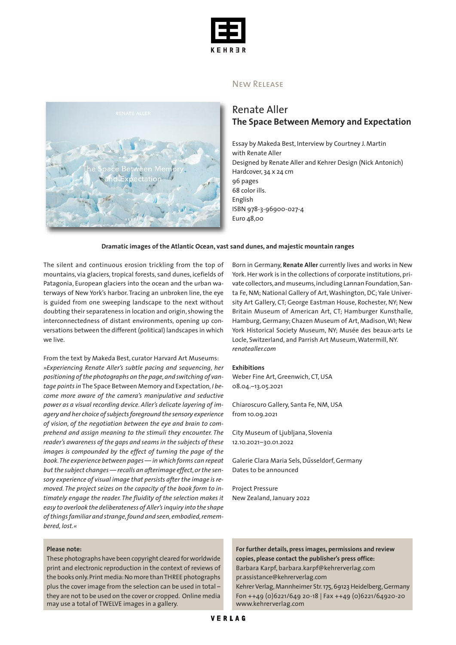



## New Release

# Renate Aller **The Space Between Memory and Expectation**

Essay by Makeda Best, Interview by Courtney J. Martin with Renate Aller Designed by Renate Aller and Kehrer Design (Nick Antonich) Hardcover, 34 x 24 cm 96 pages 68 color ills. English ISBN 978-3-96900-027-4 Euro 48,00

### **Dramatic images of the Atlantic Ocean, vast sand dunes, and majestic mountain ranges**

The silent and continuous erosion trickling from the top of mountains, via glaciers, tropical forests, sand dunes, icefields of Patagonia, European glaciers into the ocean and the urban waterways of New York's harbor. Tracing an unbroken line, the eye is guided from one sweeping landscape to the next without doubting their separateness in location and origin, showing the interconnectedness of distant environments, opening up conversations between the different (political) landscapes in which we live.

From the text by Makeda Best, curator Harvard Art Museums: *»Experiencing Renate Aller's subtle pacing and sequencing, her positioning ofthe photographs on the page,and switching of vantage pointsin* The Space Between Memory and Expectation*,I become more aware of the camera's manipulative and seductive power as a visual recording device. Aller's delicate layering of imagery and her choice ofsubjectsforeground the sensory experience of vision, of the negotiation between the eye and brain to comprehend and assign meaning to the stimuli they encounter. The reader's awareness of the gaps and seams in the subjects of these images is compounded by the effect of turning the page of the book.The experience between pages—in which forms can repeat but the subject changes—recalls an afterimage effect,orthe sensory experience of visual image that persists after the image isremoved. The project seizes on the capacity of the book form to intimately engage the reader. The fluidity of the selection makes it easy to overlook the deliberateness of Aller'sinquiry into the shape ofthingsfamiliar and strange,found and seen,embodied,remembered, lost.«*

## **Please note:**

These photographs have been copyright cleared forworldwide print and electronic reproduction in the context of reviews of the books only.Print media:No more thanTHREE photographs plus the cover image from the selection can be used in total – they are not to be used on the cover or cropped. Online media may use a total of TWELVE images in a gallery.

Born in Germany, **Renate Aller** currently lives and works in New York.Her work is in the collections of corporate institutions, private collectors,and museums,including Lannan Foundation,Santa Fe, NM; National Gallery of Art,Washington, DC; Yale University Art Gallery, CT; George Eastman House, Rochester, NY; New Britain Museum of American Art, CT; Hamburger Kunsthalle, Hamburg, Germany; Chazen Museum of Art, Madison, WI; New York Historical Society Museum, NY; Musée des beaux-arts Le Locle, Switzerland, and Parrish Art Museum, Watermill, NY. *renatealler.com*

#### **Exhibitions**

Weber Fine Art, Greenwich, CT, USA 08.04.–13.05.2021

Chiaroscuro Gallery, Santa Fe, NM, USA from 10.09.2021

City Museum of Ljubljana, Slovenia 12.10.2021–30.01.2022

Galerie Clara Maria Sels,D*̈*usseldorf,Germany Dates to be announced

Project Pressure New Zealand, January 2022

## **For further details, press images, permissions and review copies, please contact the publisher's press office:** Barbara Karpf, barbara.karpf@kehrerverlag.com pr.assistance@kehrerverlag.com Kehrer Verlag, Mannheimer Str. 175, 69123 Heidelberg, Germany

Fon ++49 (0)6221/649 20-18 | Fax ++49 (0)6221/64920-20 www.kehrerverlag.com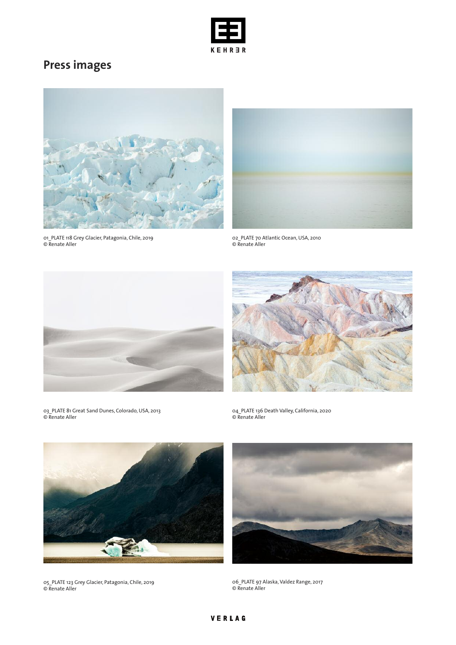

# **Press images**



01\_PLATE 118 Grey Glacier, Patagonia, Chile, 2019 © Renate Aller



02\_PLATE 70 Atlantic Ocean, USA, 2010 © Renate Aller





03\_PLATE 81 Great Sand Dunes, Colorado, USA, 2013 © Renate Aller

04\_PLATE 136 Death Valley, California, 2020 © Renate Aller



05\_PLATE 123 Grey Glacier, Patagonia, Chile, 2019 © Renate Aller



06\_PLATE 97 Alaska,Valdez Range, 2017 © Renate Aller

VERLAG